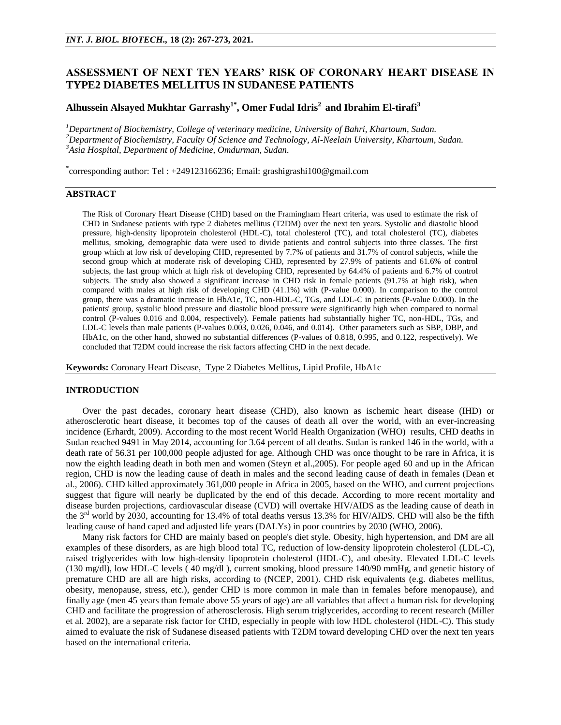# **ASSESSMENT OF NEXT TEN YEARS' RISK OF CORONARY HEART DISEASE IN TYPE2 DIABETES MELLITUS IN SUDANESE PATIENTS**

# **Alhussein Alsayed Mukhtar Garrashy1\* , Omer Fudal Idris<sup>2</sup>and Ibrahim El-tirafi<sup>3</sup>**

*<sup>1</sup>Department of Biochemistry, College of veterinary medicine, University of Bahri, Khartoum, Sudan. <sup>2</sup>Department of Biochemistry, Faculty Of Science and Technology, Al-Neelain University, Khartoum, Sudan. <sup>3</sup>Asia Hospital, Department of Medicine, Omdurman, Sudan.*

\* corresponding author: Tel : +249123166236; Email: grashigrashi100@gmail.com

### **ABSTRACT**

The Risk of Coronary Heart Disease (CHD) based on the Framingham Heart criteria, was used to estimate the risk of CHD in Sudanese patients with type 2 diabetes mellitus (T2DM) over the next ten years. Systolic and diastolic blood pressure, high-density lipoprotein cholesterol (HDL-C), total cholesterol (TC), and total cholesterol (TC), diabetes mellitus, smoking, demographic data were used to divide patients and control subjects into three classes. The first group which at low risk of developing CHD, represented by 7.7% of patients and 31.7% of control subjects, while the second group which at moderate risk of developing CHD, represented by 27.9% of patients and 61.6% of control subjects, the last group which at high risk of developing CHD, represented by 64.4% of patients and 6.7% of control subjects. The study also showed a significant increase in CHD risk in female patients (91.7% at high risk), when compared with males at high risk of developing CHD (41.1%) with (P-value 0.000). In comparison to the control group, there was a dramatic increase in HbA1c, TC, non-HDL-C, TGs, and LDL-C in patients (P-value 0.000). In the patients' group, systolic blood pressure and diastolic blood pressure were significantly high when compared to normal control (P-values 0.016 and 0.004, respectively). Female patients had substantially higher TC, non-HDL, TGs, and LDL-C levels than male patients (P-values 0.003, 0.026, 0.046, and 0.014). Other parameters such as SBP, DBP, and HbA1c, on the other hand, showed no substantial differences (P-values of 0.818, 0.995, and 0.122, respectively). We concluded that T2DM could increase the risk factors affecting CHD in the next decade.

**Keywords:** Coronary Heart Disease, Type 2 Diabetes Mellitus, Lipid Profile, HbA1c

## **INTRODUCTION**

Over the past decades, coronary heart disease (CHD), also known as ischemic heart disease (IHD) or atherosclerotic heart disease, it becomes top of the causes of death all over the world, with an ever-increasing incidence (Erhardt, 2009). According to the most recent World Health Organization (WHO) results, CHD deaths in Sudan reached 9491 in May 2014, accounting for 3.64 percent of all deaths. Sudan is ranked 146 in the world, with a death rate of 56.31 per 100,000 people adjusted for age. Although CHD was once thought to be rare in Africa, it is now the eighth leading death in both men and women (Steyn et al.,2005). For people aged 60 and up in the African region, CHD is now the leading cause of death in males and the second leading cause of death in females (Dean et al., 2006). CHD killed approximately 361,000 people in Africa in 2005, based on the WHO, and current projections suggest that figure will nearly be duplicated by the end of this decade. According to more recent mortality and disease burden projections, cardiovascular disease (CVD) will overtake HIV/AIDS as the leading cause of death in the  $3<sup>rd</sup>$  world by 2030, accounting for 13.4% of total deaths versus 13.3% for HIV/AIDS. CHD will also be the fifth leading cause of hand caped and adjusted life years (DALYs) in poor countries by 2030 (WHO, 2006).

Many risk factors for CHD are mainly based on people's diet style. Obesity, high hypertension, and DM are all examples of these disorders, as are high blood total TC, reduction of low-density lipoprotein cholesterol (LDL-C), raised triglycerides with low high-density lipoprotein cholesterol (HDL-C), and obesity. Elevated LDL-C levels (130 mg/dl), low HDL-C levels ( 40 mg/dl ), current smoking, blood pressure 140/90 mmHg, and genetic history of premature CHD are all are high risks, according to (NCEP, 2001). CHD risk equivalents (e.g. diabetes mellitus, obesity, menopause, stress, etc.), gender CHD is more common in male than in females before menopause), and finally age (men 45 years than female above 55 years of age) are all variables that affect a human risk for developing CHD and facilitate the progression of atherosclerosis. High serum triglycerides, according to recent research (Miller et al. 2002), are a separate risk factor for CHD, especially in people with low HDL cholesterol (HDL-C). This study aimed to evaluate the risk of Sudanese diseased patients with T2DM toward developing CHD over the next ten years based on the international criteria.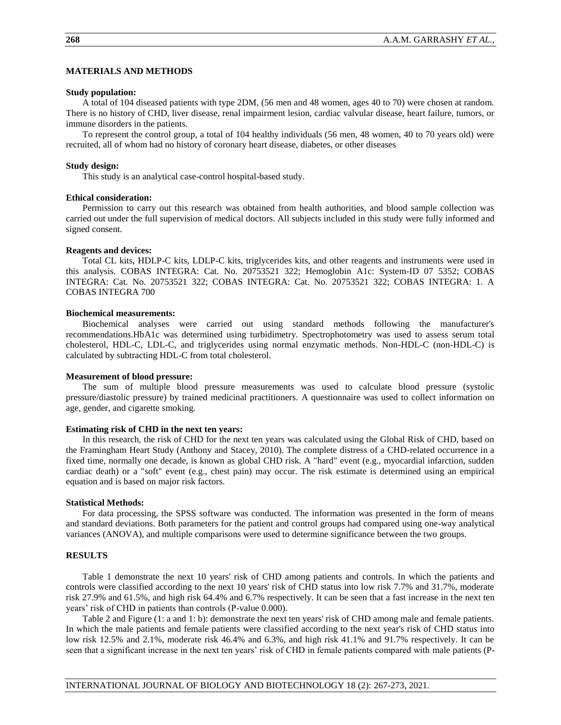## **MATERIALS AND METHODS**

#### **Study population:**

A total of 104 diseased patients with type 2DM, (56 men and 48 women, ages 40 to 70) were chosen at random. There is no history of CHD, liver disease, renal impairment lesion, cardiac valvular disease, heart failure, tumors, or immune disorders in the patients.

To represent the control group, a total of 104 healthy individuals (56 men, 48 women, 40 to 70 years old) were recruited, all of whom had no history of coronary heart disease, diabetes, or other diseases

### **Study design:**

This study is an analytical case-control hospital-based study.

#### **Ethical consideration:**

Permission to carry out this research was obtained from health authorities, and blood sample collection was carried out under the full supervision of medical doctors. All subjects included in this study were fully informed and signed consent.

#### **Reagents and devices:**

Total CL kits, HDLP-C kits, LDLP-C kits, triglycerides kits, and other reagents and instruments were used in this analysis. COBAS INTEGRA: Cat. No. 20753521 322; Hemoglobin A1c: System-ID 07 5352; COBAS INTEGRA: Cat. No. 20753521 322; COBAS INTEGRA: Cat. No. 20753521 322; COBAS INTEGRA: 1. A COBAS INTEGRA 700

#### **Biochemical measurements:**

Biochemical analyses were carried out using standard methods following the manufacturer's recommendations.HbA1c was determined using turbidimetry. Spectrophotometry was used to assess serum total cholesterol, HDL-C, LDL-C, and triglycerides using normal enzymatic methods. Non-HDL-C (non-HDL-C) is calculated by subtracting HDL-C from total cholesterol.

#### **Measurement of blood pressure:**

The sum of multiple blood pressure measurements was used to calculate blood pressure (systolic pressure/diastolic pressure) by trained medicinal practitioners. A questionnaire was used to collect information on age, gender, and cigarette smoking.

### **Estimating risk of CHD in the next ten years:**

In this research, the risk of CHD for the next ten years was calculated using the Global Risk of CHD, based on the Framingham Heart Study (Anthony and Stacey, 2010). The complete distress of a CHD-related occurrence in a fixed time, normally one decade, is known as global CHD risk. A "hard" event (e.g., myocardial infarction, sudden cardiac death) or a "soft" event (e.g., chest pain) may occur. The risk estimate is determined using an empirical equation and is based on major risk factors.

#### **Statistical Methods:**

For data processing, the SPSS software was conducted. The information was presented in the form of means and standard deviations. Both parameters for the patient and control groups had compared using one-way analytical variances (ANOVA), and multiple comparisons were used to determine significance between the two groups.

#### **RESULTS**

Table 1 demonstrate the next 10 years' risk of CHD among patients and controls. In which the patients and controls were classified according to the next 10 years' risk of CHD status into low risk 7.7% and 31.7%, moderate risk 27.9% and 61.5%, and high risk 64.4% and 6.7% respectively. It can be seen that a fast increase in the next ten years' risk of CHD in patients than controls (P-value 0.000).

Table 2 and Figure (1: a and 1: b): demonstrate the next ten years' risk of CHD among male and female patients. In which the male patients and female patients were classified according to the next year's risk of CHD status into low risk 12.5% and 2.1%, moderate risk 46.4% and 6.3%, and high risk 41.1% and 91.7% respectively. It can be seen that a significant increase in the next ten years' risk of CHD in female patients compared with male patients (P-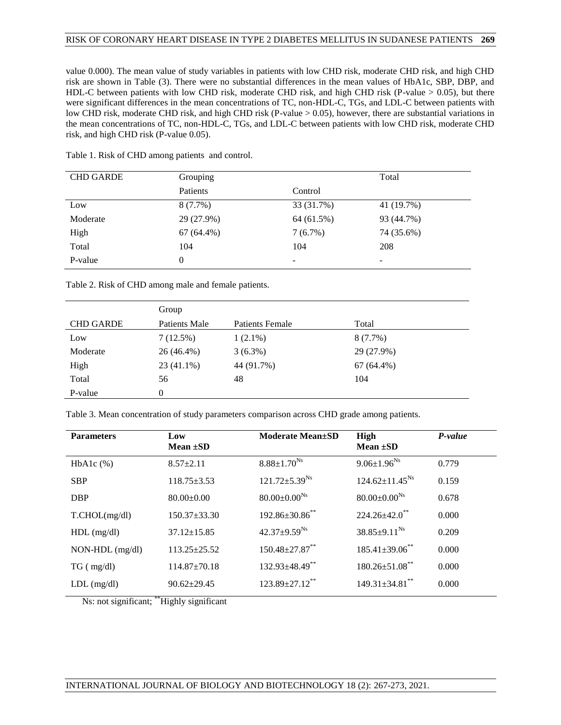## RISK OF CORONARY HEART DISEASE IN TYPE 2 DIABETES MELLITUS IN SUDANESE PATIENTS **269**

value 0.000). The mean value of study variables in patients with low CHD risk, moderate CHD risk, and high CHD risk are shown in Table (3). There were no substantial differences in the mean values of HbA1c, SBP, DBP, and HDL-C between patients with low CHD risk, moderate CHD risk, and high CHD risk (P-value > 0.05), but there were significant differences in the mean concentrations of TC, non-HDL-C, TGs, and LDL-C between patients with low CHD risk, moderate CHD risk, and high CHD risk (P-value > 0.05), however, there are substantial variations in the mean concentrations of TC, non-HDL-C, TGs, and LDL-C between patients with low CHD risk, moderate CHD risk, and high CHD risk (P-value 0.05).

| <b>CHD GARDE</b> | Grouping     |            | Total                    |
|------------------|--------------|------------|--------------------------|
|                  | Patients     | Control    |                          |
| Low              | $8(7.7\%)$   | 33 (31.7%) | 41 (19.7%)               |
| Moderate         | 29 (27.9%)   | 64 (61.5%) | 93 (44.7%)               |
| High             | $67(64.4\%)$ | 7(6.7%)    | 74 (35.6%)               |
| Total            | 104          | 104        | 208                      |
| P-value          | 0            | -          | $\overline{\phantom{0}}$ |

Table 1. Risk of CHD among patients and control.

Table 2. Risk of CHD among male and female patients.

|                  | Group         |                        |              |
|------------------|---------------|------------------------|--------------|
| <b>CHD GARDE</b> | Patients Male | <b>Patients Female</b> | Total        |
| Low              | 7(12.5%)      | $1(2.1\%)$             | $8(7.7\%)$   |
| Moderate         | 26 (46.4%)    | $3(6.3\%)$             | 29 (27.9%)   |
| High             | $23(41.1\%)$  | 44 (91.7%)             | $67(64.4\%)$ |
| Total            | 56            | 48                     | 104          |
| P-value          | 0             |                        |              |

Table 3. Mean concentration of study parameters comparison across CHD grade among patients.

| <b>Parameters</b> | Low<br>Mean $\pm SD$ | <b>Moderate Mean</b> ±SD         | High<br>Mean $\pm SD$           | P-value |
|-------------------|----------------------|----------------------------------|---------------------------------|---------|
| $HbA1c$ $%$       | $8.57 + 2.11$        | $8.88{\pm1.70}^{\rm Ns}$         | $9.06 \pm 1.96^{Ns}$            | 0.779   |
| <b>SBP</b>        | $118.75 \pm 3.53$    | $121.72 \pm 5.39^{Ns}$           | $124.62 \pm 11.45^{Ns}$         | 0.159   |
| <b>DBP</b>        | $80.00 \pm 0.00$     | $80.00 \pm 0.00^{Ns}$            | $80.00 \pm 0.00^{Ns}$           | 0.678   |
| T.CHOL(mg/dl)     | $150.37 \pm 33.30$   | $192.86 \pm 30.86$ **            | $224.26 \pm 42.0$ <sup>**</sup> | 0.000   |
| $HDL$ (mg/dl)     | $37.12 \pm 15.85$    | $42.37 \pm 9.59$ <sup>Ns</sup>   | $38.85 \pm 9.11^{N_s}$          | 0.209   |
| NON-HDL (mg/dl)   | $113.25 + 25.52$     | $150.48 \pm 27.87$ <sup>**</sup> | $185.41 \pm 39.06$ **           | 0.000   |
| $TG$ ( mg/dl)     | 114.87±70.18         | $132.93\pm48.49$ **              | $180.26 \pm 51.08$ **           | 0.000   |
| $LDL$ (mg/dl)     | $90.62 \pm 29.45$    | $123.89 \pm 27.12$ **            | $149.31 \pm 34.81$ **           | 0.000   |

Ns: not significant; \*\*Highly significant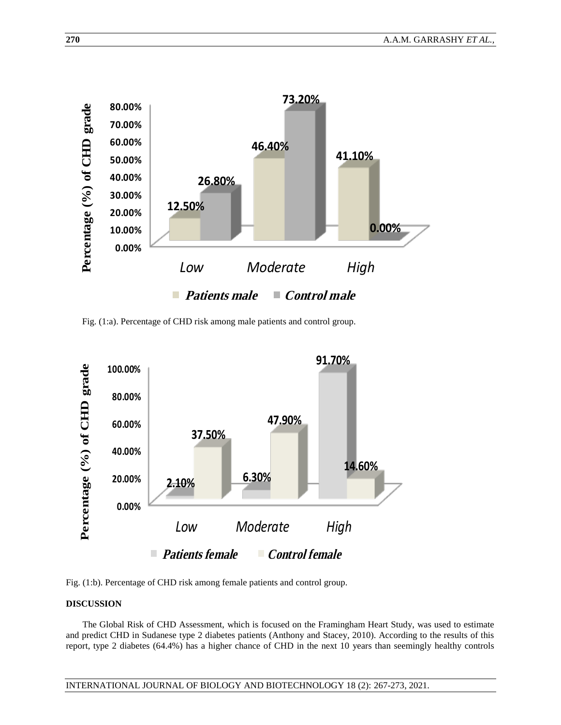

Fig. (1:a). Percentage of CHD risk among male patients and control group.



Fig. (1:b). Percentage of CHD risk among female patients and control group.

## **DISCUSSION**

The Global Risk of CHD Assessment, which is focused on the Framingham Heart Study, was used to estimate and predict CHD in Sudanese type 2 diabetes patients (Anthony and Stacey, 2010). According to the results of this report, type 2 diabetes (64.4%) has a higher chance of CHD in the next 10 years than seemingly healthy controls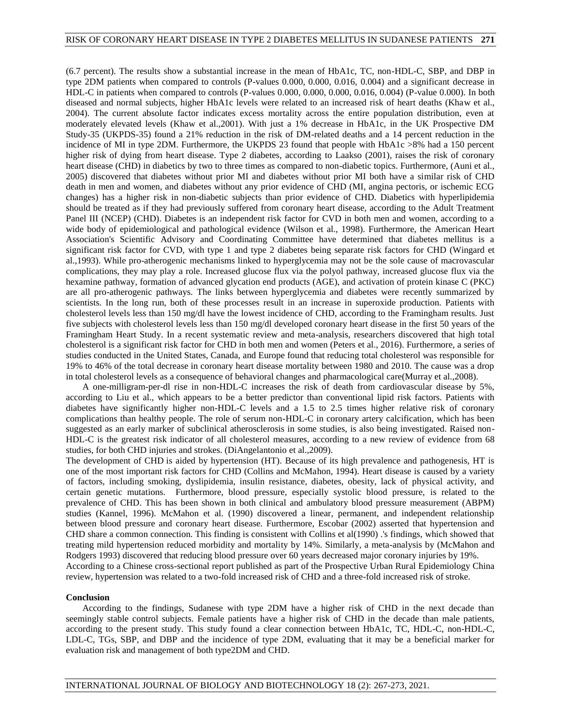(6.7 percent). The results show a substantial increase in the mean of HbA1c, TC, non-HDL-C, SBP, and DBP in type 2DM patients when compared to controls (P-values 0.000, 0.000, 0.016, 0.004) and a significant decrease in HDL-C in patients when compared to controls (P-values 0.000, 0.000, 0.000, 0.016, 0.004) (P-value 0.000). In both diseased and normal subjects, higher HbA1c levels were related to an increased risk of heart deaths (Khaw et al., 2004). The current absolute factor indicates excess mortality across the entire population distribution, even at moderately elevated levels (Khaw et al.,2001). With just a 1% decrease in HbA1c, in the UK Prospective DM Study-35 (UKPDS-35) found a 21% reduction in the risk of DM-related deaths and a 14 percent reduction in the incidence of MI in type 2DM. Furthermore, the UKPDS 23 found that people with HbA1c >8% had a 150 percent higher risk of dying from heart disease. Type 2 diabetes, according to Laakso (2001), raises the risk of coronary heart disease (CHD) in diabetics by two to three times as compared to non-diabetic topics. Furthermore, (Auni et al., 2005) discovered that diabetes without prior MI and diabetes without prior MI both have a similar risk of CHD death in men and women, and diabetes without any prior evidence of CHD (MI, angina pectoris, or ischemic ECG changes) has a higher risk in non-diabetic subjects than prior evidence of CHD. Diabetics with hyperlipidemia should be treated as if they had previously suffered from coronary heart disease, according to the Adult Treatment Panel III (NCEP) (CHD). Diabetes is an independent risk factor for CVD in both men and women, according to a wide body of epidemiological and pathological evidence (Wilson et al., 1998). Furthermore, the American Heart Association's Scientific Advisory and Coordinating Committee have determined that diabetes mellitus is a significant risk factor for CVD, with type 1 and type 2 diabetes being separate risk factors for CHD (Wingard et al.,1993). While pro-atherogenic mechanisms linked to hyperglycemia may not be the sole cause of macrovascular complications, they may play a role. Increased glucose flux via the polyol pathway, increased glucose flux via the hexamine pathway, formation of advanced glycation end products (AGE), and activation of protein kinase C (PKC) are all pro-atherogenic pathways. The links between hyperglycemia and diabetes were recently summarized by scientists. In the long run, both of these processes result in an increase in superoxide production. Patients with cholesterol levels less than 150 mg/dl have the lowest incidence of CHD, according to the Framingham results. Just five subjects with cholesterol levels less than 150 mg/dl developed coronary heart disease in the first 50 years of the Framingham Heart Study. In a recent systematic review and meta-analysis, researchers discovered that high total cholesterol is a significant risk factor for CHD in both men and women (Peters et al., 2016). Furthermore, a series of studies conducted in the United States, Canada, and Europe found that reducing total cholesterol was responsible for 19% to 46% of the total decrease in coronary heart disease mortality between 1980 and 2010. The cause was a drop in total cholesterol levels as a consequence of behavioral changes and pharmacological care(Murray et al.,2008).

A one-milligram-per-dl rise in non-HDL-C increases the risk of death from cardiovascular disease by 5%, according to Liu et al., which appears to be a better predictor than conventional lipid risk factors. Patients with diabetes have significantly higher non-HDL-C levels and a 1.5 to 2.5 times higher relative risk of coronary complications than healthy people. The role of serum non-HDL-C in coronary artery calcification, which has been suggested as an early marker of subclinical atherosclerosis in some studies, is also being investigated. Raised non-HDL-C is the greatest risk indicator of all cholesterol measures, according to a new review of evidence from 68 studies, for both CHD injuries and strokes. (DiAngelantonio et al.,2009).

The development of CHD is aided by hypertension (HT). Because of its high prevalence and pathogenesis, HT is one of the most important risk factors for CHD (Collins and McMahon, 1994). Heart disease is caused by a variety of factors, including smoking, dyslipidemia, insulin resistance, diabetes, obesity, lack of physical activity, and certain genetic mutations. Furthermore, blood pressure, especially systolic blood pressure, is related to the prevalence of CHD. This has been shown in both clinical and ambulatory blood pressure measurement (ABPM) studies (Kannel, 1996). McMahon et al. (1990) discovered a linear, permanent, and independent relationship between blood pressure and coronary heart disease. Furthermore, Escobar (2002) asserted that hypertension and CHD share a common connection. This finding is consistent with Collins et al(1990) .'s findings, which showed that treating mild hypertension reduced morbidity and mortality by 14%. Similarly, a meta-analysis by (McMahon and Rodgers 1993) discovered that reducing blood pressure over 60 years decreased major coronary injuries by 19%. According to a Chinese cross-sectional report published as part of the Prospective Urban Rural Epidemiology China

#### **Conclusion**

According to the findings, Sudanese with type 2DM have a higher risk of CHD in the next decade than seemingly stable control subjects. Female patients have a higher risk of CHD in the decade than male patients, according to the present study. This study found a clear connection between HbA1c, TC, HDL-C, non-HDL-C, LDL-C, TGs, SBP, and DBP and the incidence of type 2DM, evaluating that it may be a beneficial marker for evaluation risk and management of both type2DM and CHD.

review, hypertension was related to a two-fold increased risk of CHD and a three-fold increased risk of stroke.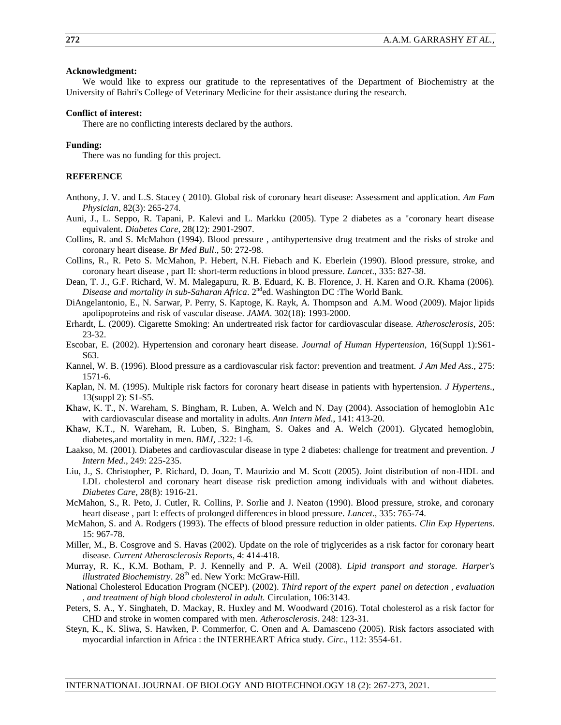## **Acknowledgment:**

We would like to express our gratitude to the representatives of the Department of Biochemistry at the University of Bahri's College of Veterinary Medicine for their assistance during the research.

#### **Conflict of interest:**

There are no conflicting interests declared by the authors.

### **Funding:**

There was no funding for this project.

## **REFERENCE**

- Anthony, J. V. and L.S. Stacey ( 2010). Global risk of coronary heart disease: Assessment and application. *Am Fam Physician*, 82(3): 265-274.
- Auni, J., L. Seppo, R. Tapani, P. Kalevi and L. Markku (2005). Type 2 diabetes as a "coronary heart disease equivalent. *Diabetes Care*, 28(12): 2901-2907.
- Collins, R. and S. McMahon (1994). Blood pressure , antihypertensive drug treatment and the risks of stroke and coronary heart disease. *Br Med Bull*., 50: 272-98.
- Collins, R., R. Peto S. McMahon, P. Hebert, N.H. Fiebach and K. Eberlein (1990). Blood pressure, stroke, and coronary heart disease , part II: short-term reductions in blood pressure. *Lancet*., 335: 827-38.
- Dean, T. J., G.F. Richard, W. M. Malegapuru, R. B. Eduard, K. B. Florence, J. H. Karen and O.R. Khama (2006). *Disease and mortality in sub-Saharan Africa.* 2<sup>nd</sup>ed. Washington DC :The World Bank.
- DiAngelantonio, E., N. Sarwar, P. Perry, S. Kaptoge, K. Rayk, A. Thompson and A.M. Wood (2009). Major lipids apolipoproteins and risk of vascular disease. *JAMA*. 302(18): 1993-2000.
- Erhardt, L. (2009). Cigarette Smoking: An undertreated risk factor for cardiovascular disease. *Atherosclerosis*, 205: 23-32.
- Escobar, E. (2002). Hypertension and coronary heart disease. *Journal of Human Hypertension*, 16(Suppl 1):S61- S63.
- Kannel, W. B. (1996). Blood pressure as a cardiovascular risk factor: prevention and treatment. *J Am Med Ass*., 275: 1571-6.
- Kaplan, N. M. (1995). Multiple risk factors for coronary heart disease in patients with hypertension. *J Hypertens*., 13(suppl 2): S1-S5.
- **K**haw, K. T., N. Wareham, S. Bingham, R. Luben, A. Welch and N. Day (2004). Association of hemoglobin A1c with cardiovascular disease and mortality in adults. *Ann Intern Med*., 141: 413-20.
- **K**haw, K.T., N. Wareham, R. Luben, S. Bingham, S. Oakes and A. Welch (2001). Glycated hemoglobin, diabetes,and mortality in men. *BMJ*, .322: 1-6.
- **L**aakso, M. (2001). Diabetes and cardiovascular disease in type 2 diabetes: challenge for treatment and prevention. *J Intern Med*., 249: 225-235.
- Liu, J., S. Christopher, P. Richard, D. Joan, T. Maurizio and M. Scott (2005). Joint distribution of non-HDL and LDL cholesterol and coronary heart disease risk prediction among individuals with and without diabetes. *Diabetes Care*, 28(8): 1916-21.
- McMahon, S., R. Peto, J. Cutler, R. Collins, P. Sorlie and J. Neaton (1990). Blood pressure, stroke, and coronary heart disease , part I: effects of prolonged differences in blood pressure. *Lancet*., 335: 765-74.
- McMahon, S. and A. Rodgers (1993). The effects of blood pressure reduction in older patients. *Clin Exp Hypertens*. 15: 967-78.
- Miller, M., B. Cosgrove and S. Havas (2002). Update on the role of triglycerides as a risk factor for coronary heart disease. *Current Atherosclerosis Reports*, 4: 414-418.
- Murray, R. K., K.M. Botham, P. J. Kennelly and P. A. Weil (2008). *Lipid transport and storage. Harper's illustrated Biochemistry*. 28<sup>th</sup> ed. New York: McGraw-Hill.
- **N**ational Cholesterol Education Program (NCEP). (2002). *Third report of the expert panel on detection , evaluation , and treatment of high blood cholesterol in adult.* Circulation, 106:3143.
- Peters, S. A., Y. Singhateh, D. Mackay, R. Huxley and M. Woodward (2016). Total cholesterol as a risk factor for CHD and stroke in women compared with men. *Atherosclerosis*. 248: 123-31.
- Steyn, K., K. Sliwa, S. Hawken, P. Commerfor, C. Onen and A. Damasceno (2005). Risk factors associated with myocardial infarction in Africa : the INTERHEART Africa study. *Circ*., 112: 3554-61.